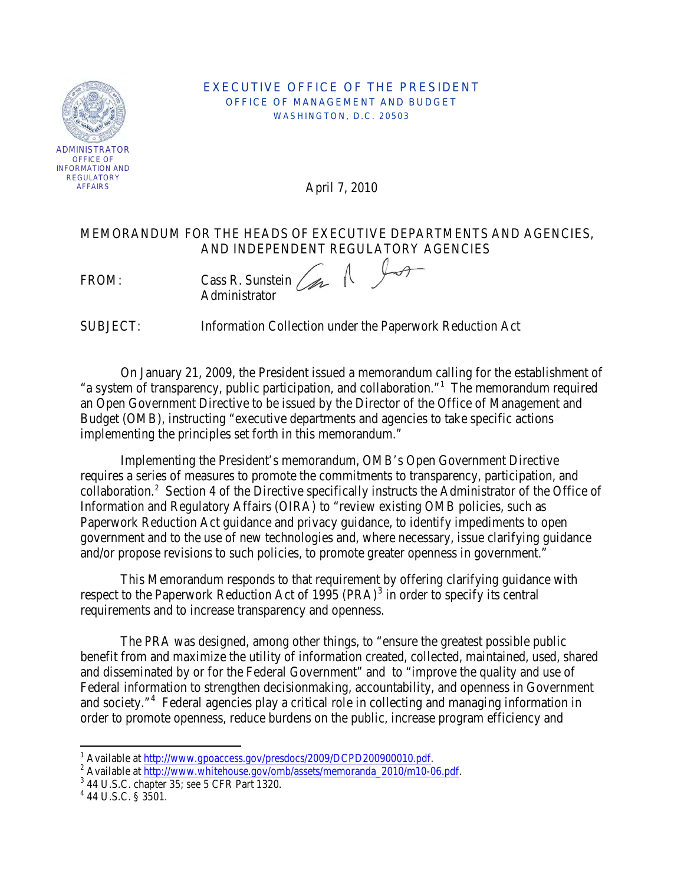

#### EXECUTIVE OFFICE OF THE PRESIDENT OFFICE OF MANAGEMENT AND BUDGET WASHINGTON, D.C. 20503

April 7, 2010

## MEMORANDUM FOR THE HEADS OF EXECUTIVE DEPARTMENTS AND AGENCIES, AND INDEPENDENT REGULATORY AGENCIES

FROM: Cass R. Sunstein Administrator

SUBJECT: Information Collection under the Paperwork Reduction Act

On January 21, 2009, the President issued a memorandum calling for the establishment of "a system of transparency, public participation, and collaboration."<sup>[1](#page-0-0)</sup> The memorandum required an Open Government Directive to be issued by the Director of the Office of Management and Budget (OMB), instructing "executive departments and agencies to take specific actions implementing the principles set forth in this memorandum."

Implementing the President's memorandum, OMB's Open Government Directive requires a series of measures to promote the commitments to transparency, participation, and collaboration.<sup>[2](#page-0-1)</sup> Section 4 of the Directive specifically instructs the Administrator of the Office of Information and Regulatory Affairs (OIRA) to "review existing OMB policies, such as Paperwork Reduction Act guidance and privacy guidance, to identify impediments to open government and to the use of new technologies and, where necessary, issue clarifying guidance and/or propose revisions to such policies, to promote greater openness in government."

This Memorandum responds to that requirement by offering clarifying guidance with respect to the Paperwork Reduction Act of 1995 (PRA)<sup>[3](#page-0-2)</sup> in order to specify its central requirements and to increase transparency and openness.

The PRA was designed, among other things, to "ensure the greatest possible public benefit from and maximize the utility of information created, collected, maintained, used, shared and disseminated by or for the Federal Government" and to "improve the quality and use of Federal information to strengthen decisionmaking, accountability, and openness in Government and society."<sup>[4](#page-0-3)</sup> Federal agencies play a critical role in collecting and managing information in order to promote openness, reduce burdens on the public, increase program efficiency and

ı

<sup>&</sup>lt;sup>1</sup> Available at http://www.gpoaccess.gov/presdocs/2009/DCPD200900010.pdf.

<span id="page-0-1"></span><span id="page-0-0"></span>http://www.whitehouse.gov/omb/assets/memoranda\_2010/m10-06.pdf.<br>
<sup>2</sup> Available at <u>http://www.whitehouse.gov/omb/assets/memoranda\_2010/m10-06.pdf.</u><br>
<sup>3</sup> 44 U.S.C. § 3501.

<span id="page-0-2"></span>

<span id="page-0-3"></span>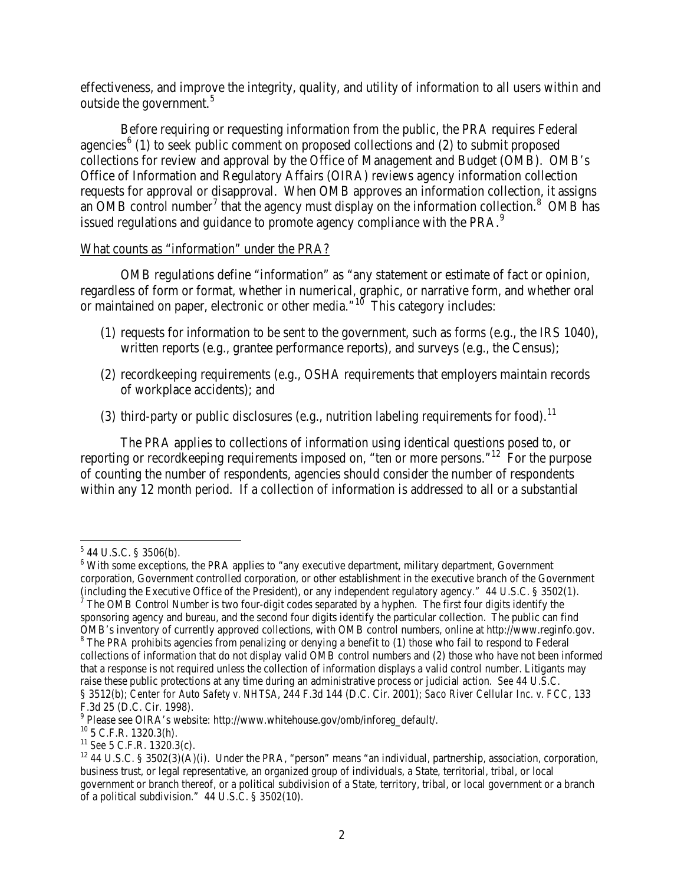effectiveness, and improve the integrity, quality, and utility of information to all users within and outside the government.<sup>[5](#page-1-0)</sup>

Before requiring or requesting information from the public, the PRA requires Federal agencies<sup>[6](#page-1-1)</sup> (1) to seek public comment on proposed collections and (2) to submit proposed collections for review and approval by the Office of Management and Budget (OMB). OMB's Office of Information and Regulatory Affairs (OIRA) reviews agency information collection requests for approval or disapproval. When OMB approves an information collection, it assigns an OMB control number<sup>[7](#page-1-2)</sup> that the agency must display on the information collection.<sup>[8](#page-1-3)</sup> OMB has issued regulations and guidance to promote agency compliance with the PRA.<sup>[9](#page-1-4)</sup>

#### What counts as "information" under the PRA?

OMB regulations define "information" as "any statement or estimate of fact or opinion, regardless of form or format, whether in numerical, graphic, or narrative form, and whether oral or maintained on paper, electronic or other media."<sup>[10](#page-1-5)</sup> This category includes:

- (1) requests for information to be sent to the government, such as forms (e.g., the IRS 1040), written reports (e.g., grantee performance reports), and surveys (e.g., the Census);
- (2) recordkeeping requirements (e.g., OSHA requirements that employers maintain records of workplace accidents); and
- (3) third-party or public disclosures (e.g., nutrition labeling requirements for food).<sup>[11](#page-1-6)</sup>

The PRA applies to collections of information using identical questions posed to, or reporting or recordkeeping requirements imposed on, "ten or more persons."<sup>[12](#page-1-7)</sup> For the purpose of counting the number of respondents, agencies should consider the number of respondents within any 12 month period. If a collection of information is addressed to all or a substantial

 $\overline{\phantom{0}}$ 

<span id="page-1-0"></span> $5$  44 U.S.C. § 3506(b).

<span id="page-1-1"></span><sup>&</sup>lt;sup>6</sup> With some exceptions, the PRA applies to "any executive department, military department, Government corporation, Government controlled corporation, or other establishment in the executive branch of the Government (including the Executive Office of the President), or any independent regulatory agency." 44 U.S.C. § 3502(1).  $\frac{7}{7}$  The OMB Control Number is two four-digit codes separated by a hyphen. The first four digits identify

<span id="page-1-2"></span>sponsoring agency and bureau, and the second four digits identify the particular collection. The public can find OMB's inventory of currently approved collections, with OMB control numbers, online at http://www.reginfo.gov. <sup>8</sup> The PRA prohibits agencies from penalizing or denying a benefit to (1) those who fail to respond to Federal

<span id="page-1-3"></span>collections of information that do not display valid OMB control numbers and (2) those who have not been informed that a response is not required unless the collection of information displays a valid control number. Litigants may raise these public protections at any time during an administrative process or judicial action. *See* 44 U.S.C. § 3512(b); *Center for Auto Safety v. NHTSA*, 244 F.3d 144 (D.C. Cir. 2001); *Saco River Cellular Inc. v. FCC*, 133 F.3d 25 (D.C. Cir. 1998).<br><sup>9</sup> Please see OIRA's website: http://www.whitehouse.gov/omb/inforeg\_default/.

<span id="page-1-4"></span>

<span id="page-1-7"></span><span id="page-1-6"></span>

<span id="page-1-5"></span><sup>&</sup>lt;sup>10</sup> 5 C.F.R. 1320.3(h).<br><sup>11</sup> See 5 C.F.R. 1320.3(c).<br><sup>12</sup> 44 U.S.C. § 3502(3)(A)(i). Under the PRA, "person" means "an individual, partnership, association, corporation, business trust, or legal representative, an organized group of individuals, a State, territorial, tribal, or local government or branch thereof, or a political subdivision of a State, territory, tribal, or local government or a branch of a political subdivision." 44 U.S.C. § 3502(10).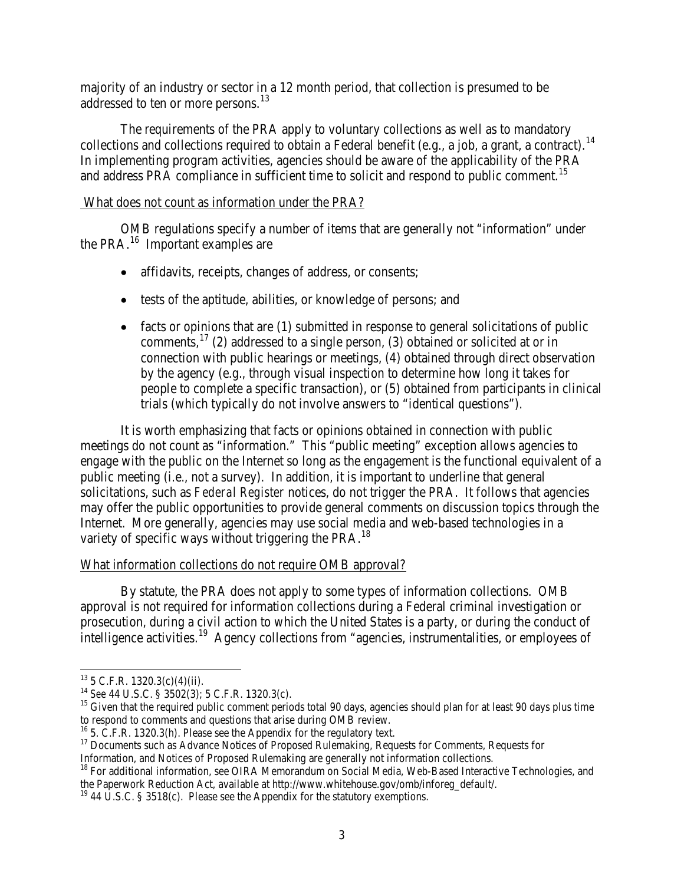majority of an industry or sector in a 12 month period, that collection is presumed to be addressed to ten or more persons.<sup>[13](#page-2-0)</sup>

The requirements of the PRA apply to voluntary collections as well as to mandatory collections and collections required to obtain a Federal benefit (e.g., a job, a grant, a contract). [14](#page-2-1)  In implementing program activities, agencies should be aware of the applicability of the PRA and address PRA compliance in sufficient time to solicit and respond to public comment.<sup>[15](#page-2-2)</sup>

### What does not count as information under the PRA?

OMB regulations specify a number of items that are generally not "information" under the PRA. $^{16}$  $^{16}$  $^{16}$  Important examples are

- affidavits, receipts, changes of address, or consents;
- tests of the aptitude, abilities, or knowledge of persons; and
- $\bullet$  facts or opinions that are (1) submitted in response to general solicitations of public comments,  $17$  (2) addressed to a single person, (3) obtained or solicited at or in connection with public hearings or meetings, (4) obtained through direct observation by the agency (e.g., through visual inspection to determine how long it takes for people to complete a specific transaction), or (5) obtained from participants in clinical trials (which typically do not involve answers to "identical questions").

It is worth emphasizing that facts or opinions obtained in connection with public meetings do not count as "information." This "public meeting" exception allows agencies to engage with the public on the Internet so long as the engagement is the functional equivalent of a public meeting (i.e., not a survey). In addition, it is important to underline that general solicitations, such as *Federal Register* notices, do not trigger the PRA. It follows that agencies may offer the public opportunities to provide general comments on discussion topics through the Internet. More generally, agencies may use social media and web-based technologies in a variety of specific ways without triggering the PRA.<sup>[18](#page-2-5)</sup>

## What information collections do not require OMB approval?

By statute, the PRA does not apply to some types of information collections. OMB approval is not required for information collections during a Federal criminal investigation or prosecution, during a civil action to which the United States is a party, or during the conduct of intelligence activities.<sup>[19](#page-2-6)</sup> Agency collections from "agencies, instrumentalities, or employees of

ı

<span id="page-2-1"></span><span id="page-2-0"></span><sup>&</sup>lt;sup>13</sup> 5 C.F.R. 1320.3(c)(4)(ii).<br><sup>14</sup> *See* 44 U.S.C. § 3502(3); 5 C.F.R. 1320.3(c).

<span id="page-2-2"></span><sup>&</sup>lt;sup>15</sup> Given that the required public comment periods total 90 days, agencies should plan for at least 90 days plus time to respond to comments and questions that arise during OMB review.

<span id="page-2-4"></span><span id="page-2-3"></span><sup>&</sup>lt;sup>16</sup> 5. C.F.R. 1320.3(h). Please see the Appendix for the regulatory text.<br><sup>17</sup> Documents such as Advance Notices of Proposed Rulemaking, Requests for Comments, Requests for Information, and Notices of Proposed Rulemaking

<span id="page-2-5"></span> $<sup>18</sup>$  For additional information, see OIRA Memorandum on Social Media, Web-Based Interactive Technologies, and</sup> the Paperwork Reduction Act, available at http://www.whitehouse.gov/omb/inforeg\_default/. <sup>19</sup> 44 U.S.C. § 3518(c). Please see the Appendix for the statutory exemptions.

<span id="page-2-6"></span>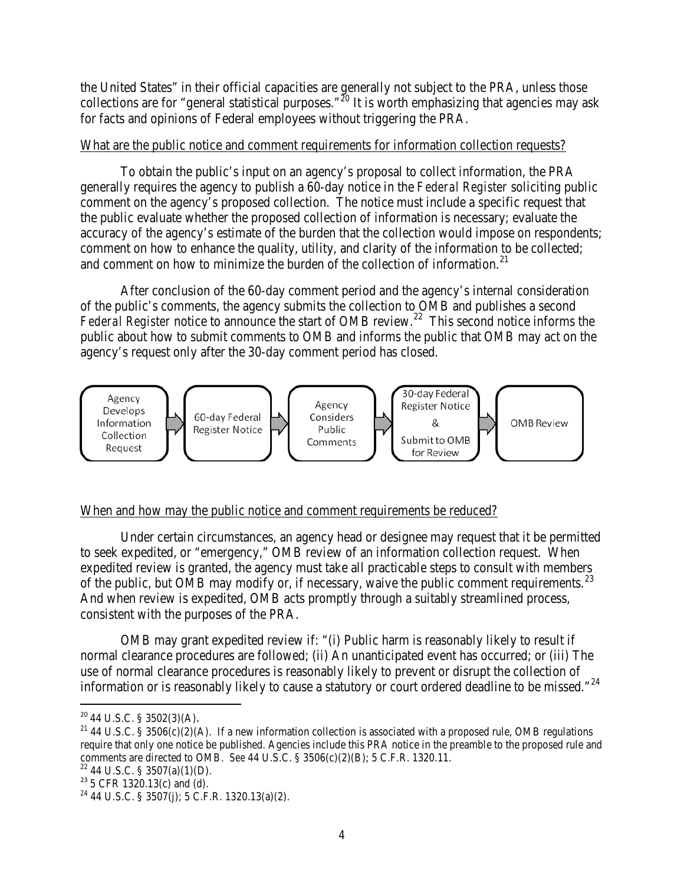the United States" in their official capacities are generally not subject to the PRA, unless those collections are for "general statistical purposes."<sup>[20](#page-3-0)</sup> It is worth emphasizing that agencies may ask for facts and opinions of Federal employees without triggering the PRA.

## What are the public notice and comment requirements for information collection requests?

To obtain the public's input on an agency's proposal to collect information, the PRA generally requires the agency to publish a 60-day notice in the *Federal Register* soliciting public comment on the agency's proposed collection. The notice must include a specific request that the public evaluate whether the proposed collection of information is necessary; evaluate the accuracy of the agency's estimate of the burden that the collection would impose on respondents; comment on how to enhance the quality, utility, and clarity of the information to be collected; and comment on how to minimize the burden of the collection of information.<sup>[21](#page-3-1)</sup>

After conclusion of the 60-day comment period and the agency's internal consideration of the public's comments, the agency submits the collection to OMB and publishes a second Federal Register notice to announce the start of OMB review.<sup>22</sup> This second notice informs the public about how to submit comments to OMB and informs the public that OMB may act on the agency's request only after the 30-day comment period has closed.



## When and how may the public notice and comment requirements be reduced?

Under certain circumstances, an agency head or designee may request that it be permitted to seek expedited, or "emergency," OMB review of an information collection request. When expedited review is granted, the agency must take all practicable steps to consult with members of the public, but OMB may modify or, if necessary, waive the public comment requirements.<sup>[23](#page-3-3)</sup> And when review is expedited, OMB acts promptly through a suitably streamlined process, consistent with the purposes of the PRA.

OMB may grant expedited review if: "(i) Public harm is reasonably likely to result if normal clearance procedures are followed; (ii) An unanticipated event has occurred; or (iii) The use of normal clearance procedures is reasonably likely to prevent or disrupt the collection of information or is reasonably likely to cause a statutory or court ordered deadline to be missed."<sup>[24](#page-3-4)</sup>

l

<span id="page-3-0"></span> $20$  44 U.S.C. § 3502(3)(A).

<span id="page-3-1"></span><sup>&</sup>lt;sup>21</sup> 44 U.S.C. § 3506(c)(2)(A). If a new information collection is associated with a proposed rule, OMB regulations require that only one notice be published. Agencies include this PRA notice in the preamble to the proposed rule and comments are directed to OMB. *See* 44 U.S.C. § 3506(c)(2)(B); 5 C.F.R. 1320.11.<br><sup>22</sup> 44 U.S.C. § 3507(a)(1)(D).<br><sup>23</sup> 5 CFR 1320.13(c) and (d). <sup>24</sup> 44 U.S.C. § 3507(j); 5 C.F.R. 1320.13(a)(2).

<span id="page-3-3"></span><span id="page-3-2"></span>

<span id="page-3-4"></span>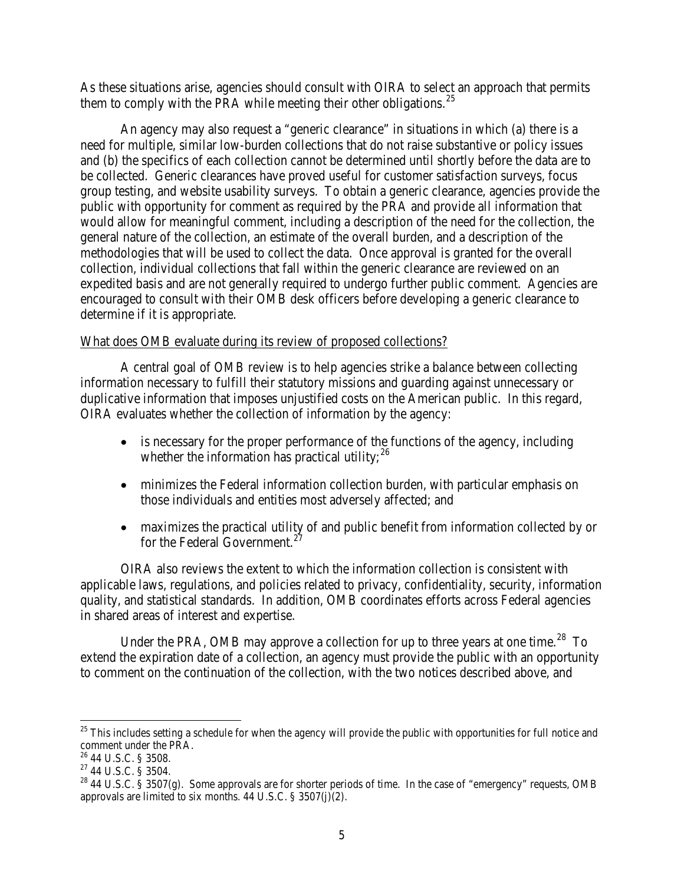As these situations arise, agencies should consult with OIRA to select an approach that permits them to comply with the PRA while meeting their other obligations.<sup>[25](#page-4-0)</sup>

An agency may also request a "generic clearance" in situations in which (a) there is a need for multiple, similar low-burden collections that do not raise substantive or policy issues and (b) the specifics of each collection cannot be determined until shortly before the data are to be collected. Generic clearances have proved useful for customer satisfaction surveys, focus group testing, and website usability surveys. To obtain a generic clearance, agencies provide the public with opportunity for comment as required by the PRA and provide all information that would allow for meaningful comment, including a description of the need for the collection, the general nature of the collection, an estimate of the overall burden, and a description of the methodologies that will be used to collect the data. Once approval is granted for the overall collection, individual collections that fall within the generic clearance are reviewed on an expedited basis and are not generally required to undergo further public comment. Agencies are encouraged to consult with their OMB desk officers before developing a generic clearance to determine if it is appropriate.

### What does OMB evaluate during its review of proposed collections?

A central goal of OMB review is to help agencies strike a balance between collecting information necessary to fulfill their statutory missions and guarding against unnecessary or duplicative information that imposes unjustified costs on the American public. In this regard, OIRA evaluates whether the collection of information by the agency:

- is necessary for the proper performance of the functions of the agency, including whether the information has practical utility;  $26$
- minimizes the Federal information collection burden, with particular emphasis on those individuals and entities most adversely affected; and
- maximizes the practical utility of and public benefit from information collected by or for the Federal Government.<sup>[27](#page-4-2)</sup>

OIRA also reviews the extent to which the information collection is consistent with applicable laws, regulations, and policies related to privacy, confidentiality, security, information quality, and statistical standards. In addition, OMB coordinates efforts across Federal agencies in shared areas of interest and expertise.

Under the PRA, OMB may approve a collection for up to three years at one time.<sup>[28](#page-4-3)</sup> To extend the expiration date of a collection, an agency must provide the public with an opportunity to comment on the continuation of the collection, with the two notices described above, and

 $\overline{\phantom{0}}$ 

<span id="page-4-0"></span> $25$  This includes setting a schedule for when the agency will provide the public with opportunities for full notice and comment under the PRA.<br> $^{26}$  44 U.S.C. § 3508.

<span id="page-4-3"></span><span id="page-4-2"></span><span id="page-4-1"></span><sup>&</sup>lt;sup>27</sup> 44 U.S.C. § 3504.<br><sup>28</sup> 44 U.S.C. § 3507(g). Some approvals are for shorter periods of time. In the case of "emergency" requests, OMB approvals are limited to six months. 44 U.S.C. § 3507(j)(2).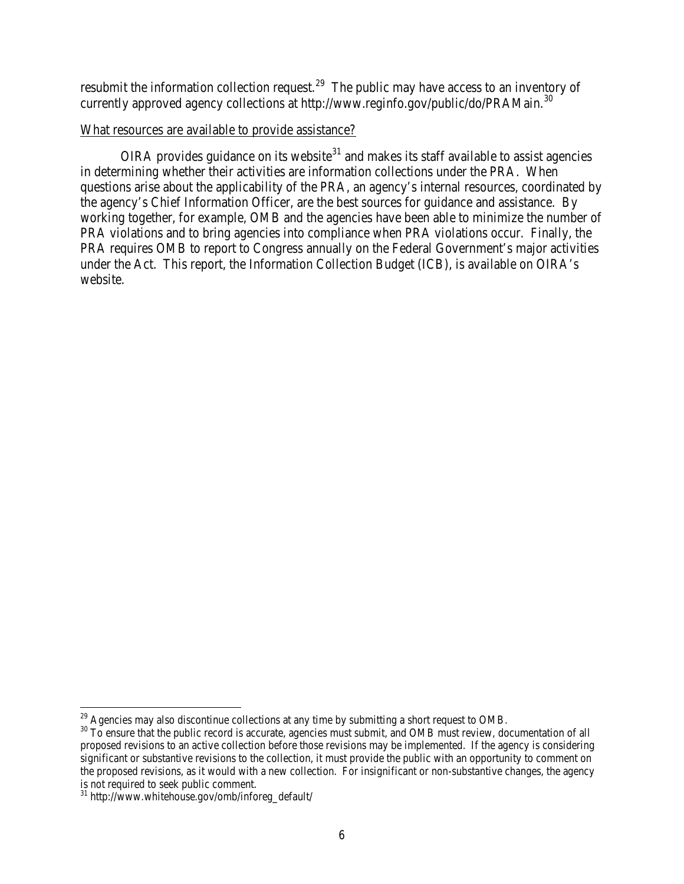resubmit the information collection request.<sup>29</sup> The public may have access to an inventory of currently approved agency collections at http://www.reginfo.gov/public/do/PRAMain.<sup>[30](#page-5-1)</sup>

### What resources are available to provide assistance?

OIRA provides guidance on its website<sup>[31](#page-5-2)</sup> and makes its staff available to assist agencies in determining whether their activities are information collections under the PRA. When questions arise about the applicability of the PRA, an agency's internal resources, coordinated by the agency's Chief Information Officer, are the best sources for guidance and assistance. By working together, for example, OMB and the agencies have been able to minimize the number of PRA violations and to bring agencies into compliance when PRA violations occur. Finally, the PRA requires OMB to report to Congress annually on the Federal Government's major activities under the Act. This report, the Information Collection Budget (ICB), is available on OIRA's website.

l

 $^{29}$  Agencies may also discontinue collections at any time by submitting a short request to OMB.

<span id="page-5-1"></span><span id="page-5-0"></span><sup>&</sup>lt;sup>30</sup> To ensure that the public record is accurate, agencies must submit, and OMB must review, documentation of all proposed revisions to an active collection before those revisions may be implemented. If the agency is considering significant or substantive revisions to the collection, it must provide the public with an opportunity to comment on the proposed revisions, as it would with a new collection. For insignificant or non-substantive changes, the agency is not required to seek public comment.

<span id="page-5-2"></span><sup>31</sup> http://www.whitehouse.gov/omb/inforeg\_default/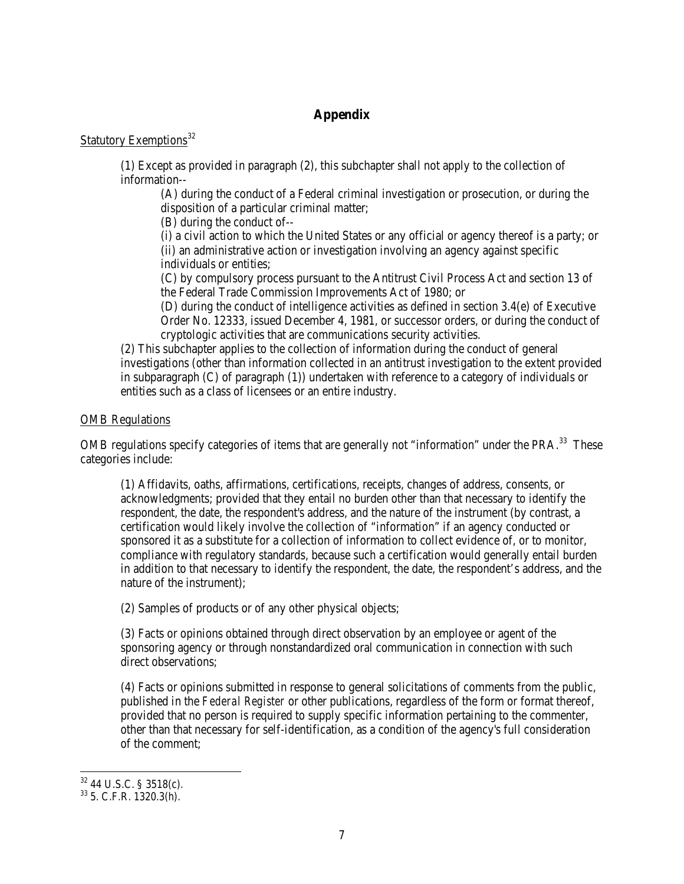## **Appendix**

# Statutory Exemptions<sup>[32](#page-6-0)</sup>

(1) Except as provided in paragraph (2), this subchapter shall not apply to the collection of information--

(A) during the conduct of a Federal criminal investigation or prosecution, or during the disposition of a particular criminal matter;

(B) during the conduct of--

(i) a civil action to which the United States or any official or agency thereof is a party; or (ii) an administrative action or investigation involving an agency against specific individuals or entities;

(C) by compulsory process pursuant to the Antitrust Civil Process Act and section 13 of the Federal Trade Commission Improvements Act of 1980; or

(D) during the conduct of intelligence activities as defined in section 3.4(e) of Executive Order No. 12333, issued December 4, 1981, or successor orders, or during the conduct of cryptologic activities that are communications security activities.

(2) This subchapter applies to the collection of information during the conduct of general investigations (other than information collected in an antitrust investigation to the extent provided in subparagraph (C) of paragraph (1)) undertaken with reference to a category of individuals or entities such as a class of licensees or an entire industry.

#### OMB Regulations

OMB regulations specify categories of items that are generally not "information" under the PRA.<sup>[33](#page-6-1)</sup> These categories include:

(1) Affidavits, oaths, affirmations, certifications, receipts, changes of address, consents, or acknowledgments; provided that they entail no burden other than that necessary to identify the respondent, the date, the respondent's address, and the nature of the instrument (by contrast, a certification would likely involve the collection of "information" if an agency conducted or sponsored it as a substitute for a collection of information to collect evidence of, or to monitor, compliance with regulatory standards, because such a certification would generally entail burden in addition to that necessary to identify the respondent, the date, the respondent's address, and the nature of the instrument);

(2) Samples of products or of any other physical objects;

(3) Facts or opinions obtained through direct observation by an employee or agent of the sponsoring agency or through nonstandardized oral communication in connection with such direct observations;

(4) Facts or opinions submitted in response to general solicitations of comments from the public, published in the *Federal Register* or other publications, regardless of the form or format thereof, provided that no person is required to supply specific information pertaining to the commenter, other than that necessary for self-identification, as a condition of the agency's full consideration of the comment;

<span id="page-6-0"></span> $32$  44 U.S.C. § 3518(c).

<span id="page-6-1"></span> $33$  5. C.F.R. 1320.3(h).